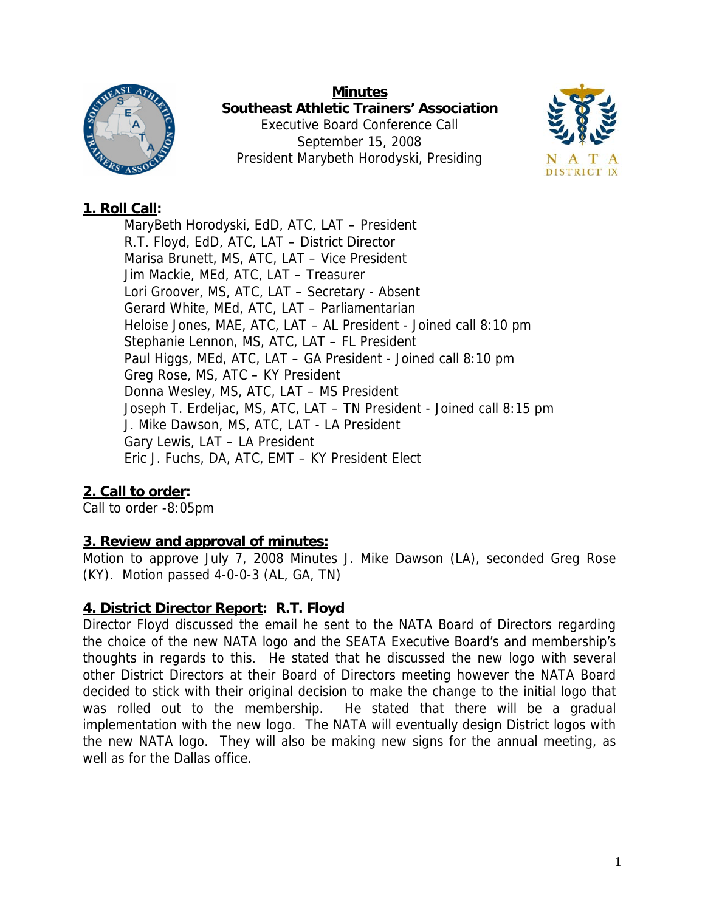

**Minutes Southeast Athletic Trainers' Association**  Executive Board Conference Call September 15, 2008 President Marybeth Horodyski, Presiding



# **1. Roll Call:**

MaryBeth Horodyski, EdD, ATC, LAT – President R.T. Floyd, EdD, ATC, LAT – District Director Marisa Brunett, MS, ATC, LAT – Vice President Jim Mackie, MEd, ATC, LAT – Treasurer Lori Groover, MS, ATC, LAT – Secretary - Absent Gerard White, MEd, ATC, LAT – Parliamentarian Heloise Jones, MAE, ATC, LAT – AL President - Joined call 8:10 pm Stephanie Lennon, MS, ATC, LAT – FL President Paul Higgs, MEd, ATC, LAT – GA President - Joined call 8:10 pm Greg Rose, MS, ATC – KY President Donna Wesley, MS, ATC, LAT – MS President Joseph T. Erdeljac, MS, ATC, LAT – TN President - Joined call 8:15 pm J. Mike Dawson, MS, ATC, LAT - LA President Gary Lewis, LAT – LA President Eric J. Fuchs, DA, ATC, EMT – KY President Elect

# **2. Call to order:**

Call to order -8:05pm

# **3. Review and approval of minutes:**

Motion to approve July 7, 2008 Minutes J. Mike Dawson (LA), seconded Greg Rose (KY). Motion passed 4-0-0-3 (AL, GA, TN)

# **4. District Director Report: R.T. Floyd**

Director Floyd discussed the email he sent to the NATA Board of Directors regarding the choice of the new NATA logo and the SEATA Executive Board's and membership's thoughts in regards to this. He stated that he discussed the new logo with several other District Directors at their Board of Directors meeting however the NATA Board decided to stick with their original decision to make the change to the initial logo that was rolled out to the membership. He stated that there will be a gradual implementation with the new logo. The NATA will eventually design District logos with the new NATA logo. They will also be making new signs for the annual meeting, as well as for the Dallas office.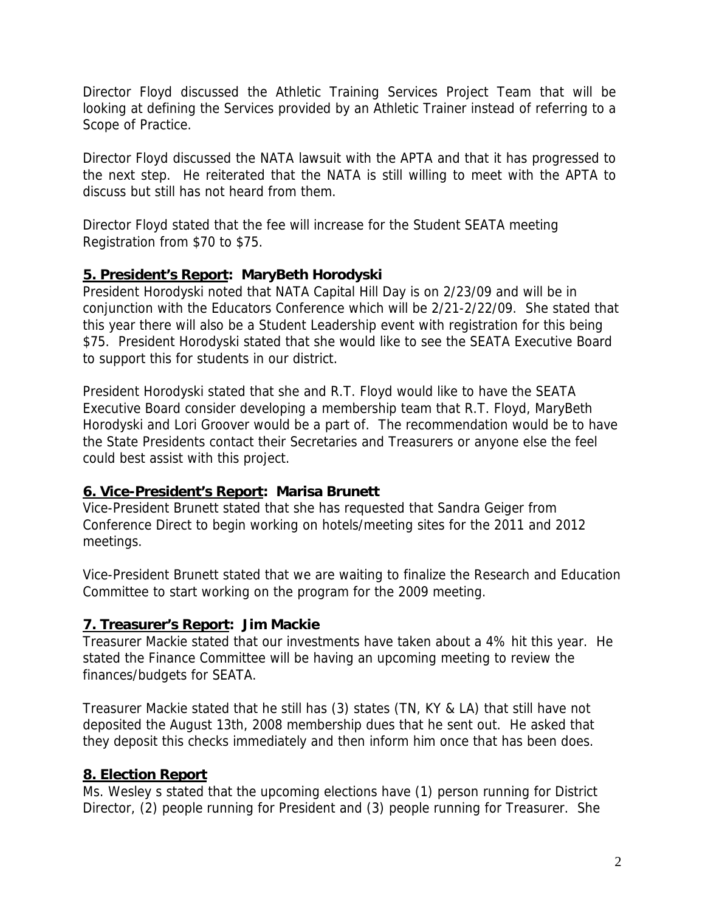Director Floyd discussed the Athletic Training Services Project Team that will be looking at defining the Services provided by an Athletic Trainer instead of referring to a Scope of Practice.

Director Floyd discussed the NATA lawsuit with the APTA and that it has progressed to the next step. He reiterated that the NATA is still willing to meet with the APTA to discuss but still has not heard from them.

Director Floyd stated that the fee will increase for the Student SEATA meeting Registration from \$70 to \$75.

### **5. President's Report: MaryBeth Horodyski**

President Horodyski noted that NATA Capital Hill Day is on 2/23/09 and will be in conjunction with the Educators Conference which will be 2/21-2/22/09. She stated that this year there will also be a Student Leadership event with registration for this being \$75. President Horodyski stated that she would like to see the SEATA Executive Board to support this for students in our district.

President Horodyski stated that she and R.T. Floyd would like to have the SEATA Executive Board consider developing a membership team that R.T. Floyd, MaryBeth Horodyski and Lori Groover would be a part of. The recommendation would be to have the State Presidents contact their Secretaries and Treasurers or anyone else the feel could best assist with this project.

### **6. Vice-President's Report: Marisa Brunett**

Vice-President Brunett stated that she has requested that Sandra Geiger from Conference Direct to begin working on hotels/meeting sites for the 2011 and 2012 meetings.

Vice-President Brunett stated that we are waiting to finalize the Research and Education Committee to start working on the program for the 2009 meeting.

# **7. Treasurer's Report: Jim Mackie**

Treasurer Mackie stated that our investments have taken about a 4% hit this year. He stated the Finance Committee will be having an upcoming meeting to review the finances/budgets for SEATA.

Treasurer Mackie stated that he still has (3) states (TN, KY & LA) that still have not deposited the August 13th, 2008 membership dues that he sent out. He asked that they deposit this checks immediately and then inform him once that has been does.

# **8. Election Report**

Ms. Wesley s stated that the upcoming elections have (1) person running for District Director, (2) people running for President and (3) people running for Treasurer. She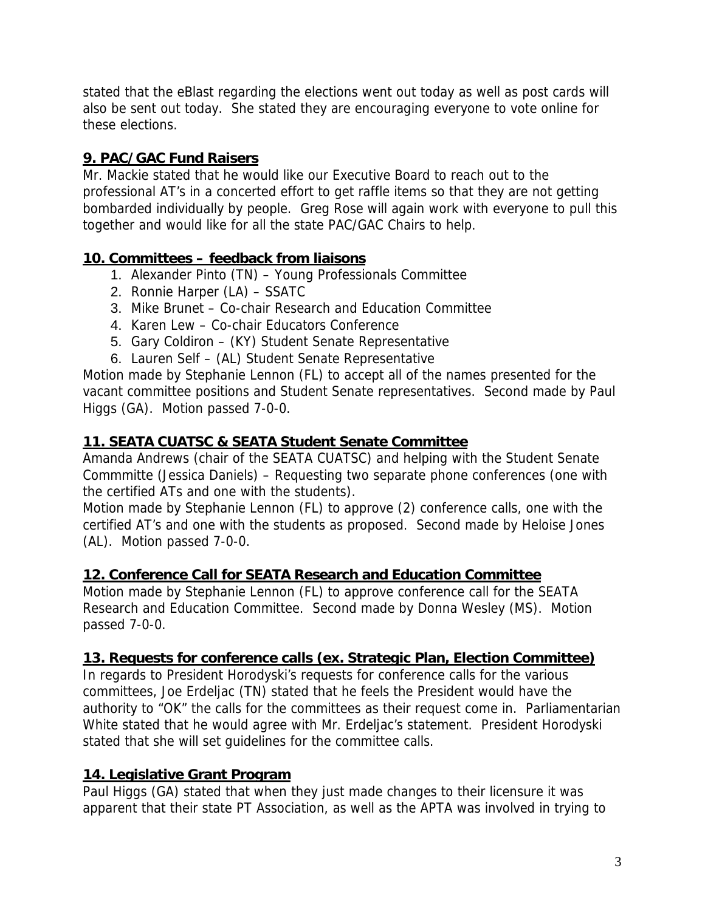stated that the eBlast regarding the elections went out today as well as post cards will also be sent out today. She stated they are encouraging everyone to vote online for these elections.

# **9. PAC/GAC Fund Raisers**

Mr. Mackie stated that he would like our Executive Board to reach out to the professional AT's in a concerted effort to get raffle items so that they are not getting bombarded individually by people. Greg Rose will again work with everyone to pull this together and would like for all the state PAC/GAC Chairs to help.

### **10. Committees – feedback from liaisons**

- 1. Alexander Pinto (TN) Young Professionals Committee
- 2. Ronnie Harper (LA) SSATC
- 3. Mike Brunet Co-chair Research and Education Committee
- 4. Karen Lew Co-chair Educators Conference
- 5. Gary Coldiron (KY) Student Senate Representative
- 6. Lauren Self (AL) Student Senate Representative

Motion made by Stephanie Lennon (FL) to accept all of the names presented for the vacant committee positions and Student Senate representatives. Second made by Paul Higgs (GA). Motion passed 7-0-0.

# **11. SEATA CUATSC & SEATA Student Senate Committee**

Amanda Andrews (chair of the SEATA CUATSC) and helping with the Student Senate Commmitte (Jessica Daniels) – Requesting two separate phone conferences (one with the certified ATs and one with the students).

Motion made by Stephanie Lennon (FL) to approve (2) conference calls, one with the certified AT's and one with the students as proposed. Second made by Heloise Jones (AL). Motion passed 7-0-0.

### **12. Conference Call for SEATA Research and Education Committee**

Motion made by Stephanie Lennon (FL) to approve conference call for the SEATA Research and Education Committee. Second made by Donna Wesley (MS). Motion passed 7-0-0.

### **13. Requests for conference calls (ex. Strategic Plan, Election Committee)**

In regards to President Horodyski's requests for conference calls for the various committees, Joe Erdeljac (TN) stated that he feels the President would have the authority to "OK" the calls for the committees as their request come in. Parliamentarian White stated that he would agree with Mr. Erdeljac's statement. President Horodyski stated that she will set guidelines for the committee calls.

# **14. Legislative Grant Program**

Paul Higgs (GA) stated that when they just made changes to their licensure it was apparent that their state PT Association, as well as the APTA was involved in trying to